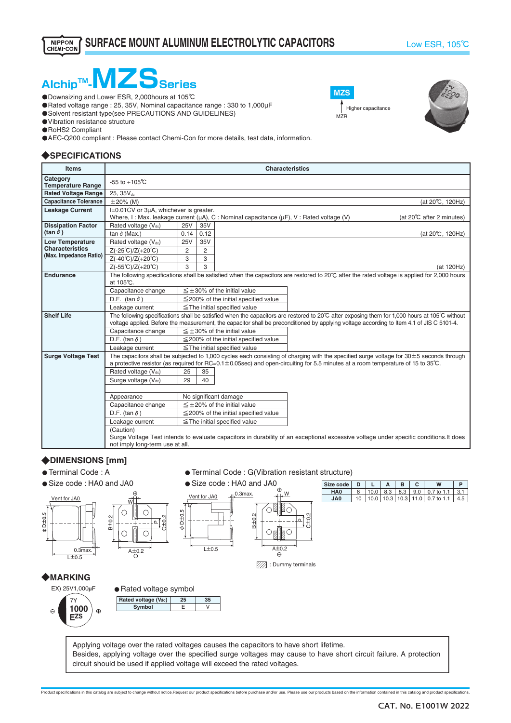Higher capacitance

**MZS**

**MZR** 



- ・Downsizing and Lower ESR, 2,000hours at 105℃
- ・Rated voltage range : 25, 35V, Nominal capacitance range : 330 to 1,000μF
- O Solvent resistant type(see PRECAUTIONS AND GUIDELINES)
- ・Vibration resistance structure
- ・RoHS2 Compliant
- ・AEC-Q200 compliant : Please contact Chemi-Con for more details, test data, information.

## ◆**SPECIFICATIONS**

| <b>Items</b>                                     | <b>Characteristics</b>                                                                                                                        |                |                |                                                                                                                                                       |  |  |  |  |  |  |
|--------------------------------------------------|-----------------------------------------------------------------------------------------------------------------------------------------------|----------------|----------------|-------------------------------------------------------------------------------------------------------------------------------------------------------|--|--|--|--|--|--|
| Category<br><b>Temperature Range</b>             | $-55$ to $+105^{\circ}$ C                                                                                                                     |                |                |                                                                                                                                                       |  |  |  |  |  |  |
| <b>Rated Voltage Range</b>                       | 25, 35Vdc                                                                                                                                     |                |                |                                                                                                                                                       |  |  |  |  |  |  |
| <b>Capacitance Tolerance</b>                     | $\pm 20\%$ (M)                                                                                                                                |                |                | (at 20°C, 120Hz)                                                                                                                                      |  |  |  |  |  |  |
| <b>Leakage Current</b>                           | I=0.01CV or 3µA, whichever is greater.                                                                                                        |                |                |                                                                                                                                                       |  |  |  |  |  |  |
|                                                  |                                                                                                                                               |                |                | Where, I: Max. leakage current ( $\mu$ A), C: Nominal capacitance ( $\mu$ F), V: Rated voltage (V)<br>(at 20°C after 2 minutes)                       |  |  |  |  |  |  |
| <b>Dissipation Factor</b>                        | Rated voltage (Vdc)                                                                                                                           | <b>25V</b>     | 35V            |                                                                                                                                                       |  |  |  |  |  |  |
| $(\tan \delta)$                                  | tan $\delta$ (Max.)                                                                                                                           | 0.14           | 0.12           | (at 20°C, 120Hz)                                                                                                                                      |  |  |  |  |  |  |
| <b>Low Temperature</b>                           | Rated voltage (Vdc)                                                                                                                           | <b>25V</b>     | 35V            |                                                                                                                                                       |  |  |  |  |  |  |
| <b>Characteristics</b><br>(Max. Impedance Ratio) | $Z(-25^{\circ}\text{C})/Z(+20^{\circ}\text{C})$                                                                                               | $\overline{2}$ | $\overline{2}$ |                                                                                                                                                       |  |  |  |  |  |  |
|                                                  | $Z(-40^{\circ}C)/Z(+20^{\circ}C)$                                                                                                             | 3              | 3              |                                                                                                                                                       |  |  |  |  |  |  |
|                                                  | Z(-55℃)/Z(+20℃)                                                                                                                               | 3              | 3              | (at 120Hz)                                                                                                                                            |  |  |  |  |  |  |
| Endurance                                        |                                                                                                                                               |                |                | The following specifications shall be satisfied when the capacitors are restored to $20^{\circ}$ C after the rated voltage is applied for 2,000 hours |  |  |  |  |  |  |
|                                                  | at 105℃.                                                                                                                                      |                |                |                                                                                                                                                       |  |  |  |  |  |  |
|                                                  | $\leq \pm 30\%$ of the initial value<br>Capacitance change                                                                                    |                |                |                                                                                                                                                       |  |  |  |  |  |  |
|                                                  | D.F. (tan $\delta$ )                                                                                                                          |                |                | $\leq$ 200% of the initial specified value                                                                                                            |  |  |  |  |  |  |
|                                                  | Leakage current                                                                                                                               |                |                | $\le$ The initial specified value                                                                                                                     |  |  |  |  |  |  |
| <b>Shelf Life</b>                                | The following specifications shall be satisfied when the capacitors are restored to 20°C after exposing them for 1,000 hours at 105°C without |                |                |                                                                                                                                                       |  |  |  |  |  |  |
|                                                  | voltage applied. Before the measurement, the capacitor shall be preconditioned by applying voltage according to Item 4.1 of JIS C 5101-4.     |                |                |                                                                                                                                                       |  |  |  |  |  |  |
|                                                  | Capacitance change                                                                                                                            |                |                | $\leq \pm 30\%$ of the initial value                                                                                                                  |  |  |  |  |  |  |
|                                                  | D.F. (tan $\delta$ )<br>$\leq$ 200% of the initial specified value                                                                            |                |                |                                                                                                                                                       |  |  |  |  |  |  |
|                                                  | Leakage current                                                                                                                               |                |                | $\le$ The initial specified value                                                                                                                     |  |  |  |  |  |  |
| <b>Surge Voltage Test</b>                        | The capacitors shall be subjected to 1,000 cycles each consisting of charging with the specified surge voltage for $30 \pm 5$ seconds through |                |                |                                                                                                                                                       |  |  |  |  |  |  |
|                                                  |                                                                                                                                               |                |                | a protective resistor (as required for RC=0.1 $\pm$ 0.05sec) and open-circuiting for 5.5 minutes at a room temperature of 15 to 35°C.                 |  |  |  |  |  |  |
|                                                  | Rated voltage $(V_{dc})$                                                                                                                      | 25             | 35             |                                                                                                                                                       |  |  |  |  |  |  |
|                                                  | Surge voltage (Vdc)                                                                                                                           | 29             | 40             |                                                                                                                                                       |  |  |  |  |  |  |
|                                                  |                                                                                                                                               |                |                |                                                                                                                                                       |  |  |  |  |  |  |
|                                                  | Appearance                                                                                                                                    |                |                | No significant damage                                                                                                                                 |  |  |  |  |  |  |
|                                                  | Capacitance change                                                                                                                            |                |                | $\leq$ +20% of the initial value                                                                                                                      |  |  |  |  |  |  |
|                                                  | D.F. (tan $\delta$ )                                                                                                                          |                |                | $\leq$ 200% of the initial specified value                                                                                                            |  |  |  |  |  |  |
|                                                  | Leakage current                                                                                                                               |                |                | $\le$ The initial specified value                                                                                                                     |  |  |  |  |  |  |
|                                                  | (Caution)                                                                                                                                     |                |                |                                                                                                                                                       |  |  |  |  |  |  |
|                                                  |                                                                                                                                               |                |                | Surge Voltage Test intends to evaluate capacitors in durability of an exceptional excessive voltage under specific conditions. It does                |  |  |  |  |  |  |
|                                                  | not imply long-term use at all.                                                                                                               |                |                |                                                                                                                                                       |  |  |  |  |  |  |

### ◆**DIMENSIONS [mm]**

- Terminal Code: A
- Size code : HA0 and JA0
- Terminal Code : G(Vibration resistant structure)  $\bullet$  Size code : HA0 and JA0

| Size code       |  |  |                                                |  |
|-----------------|--|--|------------------------------------------------|--|
| HA <sub>0</sub> |  |  | 10.0   8.3   8.3   9.0   0.7 to 1.1   3.1      |  |
| JA0             |  |  | $10.0$   10.3   10.3   11.0   0.7 to 1.1   4.5 |  |



| Size code l     | D |  |  |                                           |             |
|-----------------|---|--|--|-------------------------------------------|-------------|
| HA <sub>0</sub> |   |  |  | 10.0   8.3   8.3   9.0   0.7 to 1.1   3.1 |             |
| JA0             |   |  |  | $110.0$   10.3   10.3   11.0   0.7 to 1.1 | $4.5 \vert$ |
|                 |   |  |  |                                           |             |

# ◆**MARKING**





Applying voltage over the rated voltages causes the capacitors to have short lifetime. Besides, applying voltage over the specified surge voltages may cause to have short circuit failure. A protection circuit should be used if applied voltage will exceed the rated voltages.